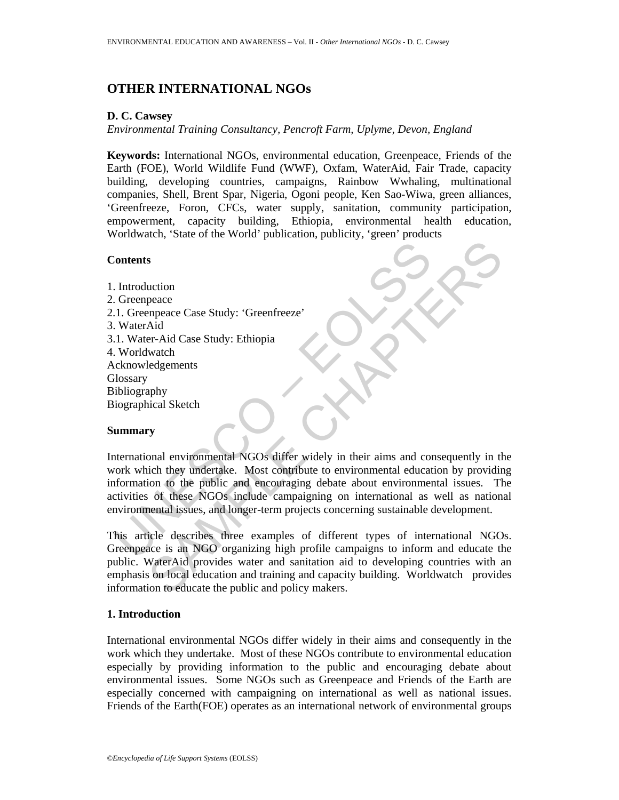# **OTHER INTERNATIONAL NGOs**

## **D. C. Cawsey**

*Environmental Training Consultancy, Pencroft Farm, Uplyme, Devon, England* 

**Keywords:** International NGOs, environmental education, Greenpeace, Friends of the Earth (FOE), World Wildlife Fund (WWF), Oxfam, WaterAid, Fair Trade, capacity building, developing countries, campaigns, Rainbow Wwhaling, multinational companies, Shell, Brent Spar, Nigeria, Ogoni people, Ken Sao-Wiwa, green alliances, 'Greenfreeze, Foron, CFCs, water supply, sanitation, community participation, empowerment, capacity building, Ethiopia, environmental health education, Worldwatch, 'State of the World' publication, publicity, 'green' products

## **Contents**

Contents<br>
1. Greenpeace Case Study: 'Greenfreeze'<br>
1. Greenpeace Case Study: 'Greenfreeze'<br>
1. Water-Aid Case Study: Ethiopia<br>
1. Worldwatch<br>
UNIVER-Aid Case Study: Ethiopia<br>
UNIVERVIERED UNIVERSITY<br>
UNIVERSITY UNIVERSITY<br> s<br>
space<br>
organe<br>
proceduate Case Study: Creenfreeze'<br>
Aid<br>
Aid<br>
Mater-Aid Case Study: Ethiopia<br>
watch<br>
Aid<br>
watch<br>
Aid<br>
watch<br>
Samply<br>
whical Sketch<br>
Samply<br>
y<br>
y<br>
by monal environmental NGOs differ widely in their aims a 1. Introduction 2. Greenpeace 2.1. Greenpeace Case Study: 'Greenfreeze' 3. WaterAid 3.1. Water-Aid Case Study: Ethiopia 4. Worldwatch Acknowledgements **Glossary** Bibliography Biographical Sketch

## **Summary**

International environmental NGOs differ widely in their aims and consequently in the work which they undertake. Most contribute to environmental education by providing information to the public and encouraging debate about environmental issues. The activities of these NGOs include campaigning on international as well as national environmental issues, and longer-term projects concerning sustainable development.

This article describes three examples of different types of international NGOs. Greenpeace is an NGO organizing high profile campaigns to inform and educate the public. WaterAid provides water and sanitation aid to developing countries with an emphasis on local education and training and capacity building. Worldwatch provides information to educate the public and policy makers.

## **1. Introduction**

International environmental NGOs differ widely in their aims and consequently in the work which they undertake. Most of these NGOs contribute to environmental education especially by providing information to the public and encouraging debate about environmental issues. Some NGOs such as Greenpeace and Friends of the Earth are especially concerned with campaigning on international as well as national issues. Friends of the Earth(FOE) operates as an international network of environmental groups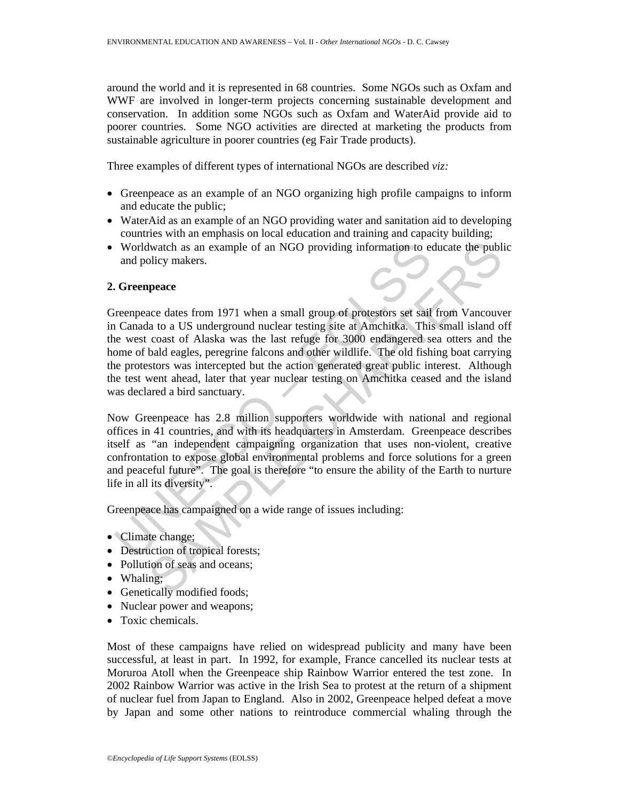around the world and it is represented in 68 countries. Some NGOs such as Oxfam and WWF are involved in longer-term projects concerning sustainable development and conservation. In addition some NGOs such as Oxfam and WaterAid provide aid to poorer countries. Some NGO activities are directed at marketing the products from sustainable agriculture in poorer countries (eg Fair Trade products).

Three examples of different types of international NGOs are described *viz:* 

- Greenpeace as an example of an NGO organizing high profile campaigns to inform and educate the public;
- WaterAid as an example of an NGO providing water and sanitation aid to developing countries with an emphasis on local education and training and capacity building;
- Worldwatch as an example of an NGO providing information to educate the public and policy makers.

#### **2. Greenpeace**

Worldwatch as an example of an NGO providing information to eand policy makers.<br>
Correspease exacts from 1971 when a small group of protestors set sail<br>
Canada to a US underground nuclear testing site at Amchitka. This<br>
ex In twatch as an example of an NGO providing information to educate the publicy makers.<br> **queece**<br>
ace dates from 1971 when a small group of protestors set sail from Vancouve<br>
at a to a US underground nuclear testing site a Greenpeace dates from 1971 when a small group of protestors set sail from Vancouver in Canada to a US underground nuclear testing site at Amchitka. This small island off the west coast of Alaska was the last refuge for 3000 endangered sea otters and the home of bald eagles, peregrine falcons and other wildlife. The old fishing boat carrying the protestors was intercepted but the action generated great public interest. Although the test went ahead, later that year nuclear testing on Amchitka ceased and the island was declared a bird sanctuary.

Now Greenpeace has 2.8 million supporters worldwide with national and regional offices in 41 countries, and with its headquarters in Amsterdam. Greenpeace describes itself as "an independent campaigning organization that uses non-violent, creative confrontation to expose global environmental problems and force solutions for a green and peaceful future". The goal is therefore "to ensure the ability of the Earth to nurture life in all its diversity".

Greenpeace has campaigned on a wide range of issues including:

- Climate change;
- Destruction of tropical forests;
- Pollution of seas and oceans;
- Whaling;
- Genetically modified foods;
- Nuclear power and weapons;
- Toxic chemicals.

Most of these campaigns have relied on widespread publicity and many have been successful, at least in part. In 1992, for example, France cancelled its nuclear tests at Moruroa Atoll when the Greenpeace ship Rainbow Warrior entered the test zone. In 2002 Rainbow Warrior was active in the Irish Sea to protest at the return of a shipment of nuclear fuel from Japan to England. Also in 2002, Greenpeace helped defeat a move by Japan and some other nations to reintroduce commercial whaling through the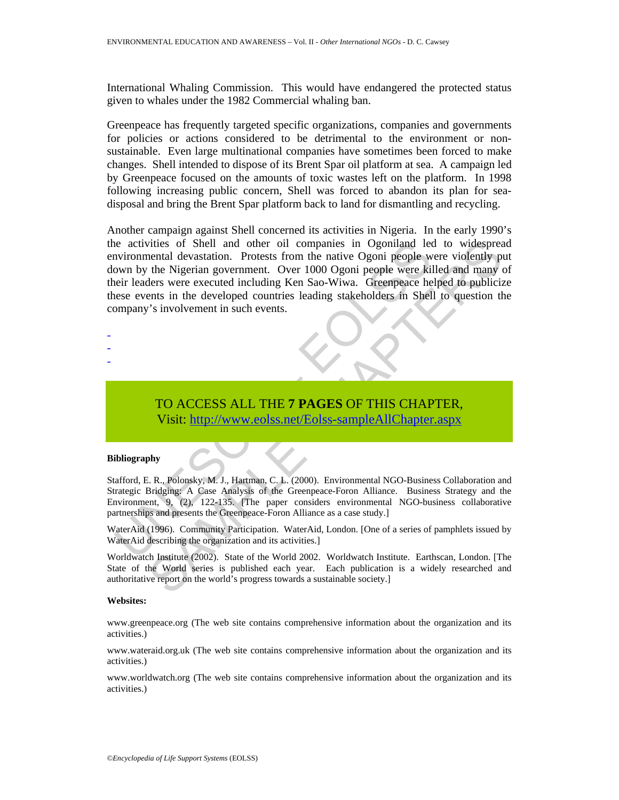International Whaling Commission. This would have endangered the protected status given to whales under the 1982 Commercial whaling ban.

Greenpeace has frequently targeted specific organizations, companies and governments for policies or actions considered to be detrimental to the environment or nonsustainable. Even large multinational companies have sometimes been forced to make changes. Shell intended to dispose of its Brent Spar oil platform at sea. A campaign led by Greenpeace focused on the amounts of toxic wastes left on the platform. In 1998 following increasing public concern, Shell was forced to abandon its plan for seadisposal and bring the Brent Spar platform back to land for dismantling and recycling.

invironmental devastation. Protests from the native Ogoni people were kind<br>novin by the Nigerian government. Over 1000 Ogoni people were kind<br>nein leaders were executed including Ken Sao-Wiwa. Greenpeace he<br>nese events in Tries of Shell and other oil companies in Ogoniland led to widespreached devastation. Protests from the native Ogoni people were villed and many of the Nigerian government. Over 1000 Ogoni people were killed and many of th Another campaign against Shell concerned its activities in Nigeria. In the early 1990's the activities of Shell and other oil companies in Ogoniland led to widespread environmental devastation. Protests from the native Ogoni people were violently put down by the Nigerian government. Over 1000 Ogoni people were killed and many of their leaders were executed including Ken Sao-Wiwa. Greenpeace helped to publicize these events in the developed countries leading stakeholders in Shell to question the company's involvement in such events.

- -
- -
- -

## TO ACCESS ALL THE **7 PAGES** OF THIS CHAPTER, Visit: http://www.eolss.net/Eolss-sampleAllChapter.aspx

#### **Bibliography**

Stafford, E. R., Polonsky, M. J., Hartman, C. L. (2000). Environmental NGO-Business Collaboration and Strategic Bridging: A Case Analysis of the Greenpeace-Foron Alliance. Business Strategy and the Environment, 9, (2), 122-135. [The paper considers environmental NGO-business collaborative partnerships and presents the Greenpeace-Foron Alliance as a case study.]

WaterAid (1996). Community Participation. WaterAid, London. [One of a series of pamphlets issued by WaterAid describing the organization and its activities.]

Worldwatch Institute (2002). State of the World 2002. Worldwatch Institute. Earthscan, London. [The State of the World series is published each year. Each publication is a widely researched and authoritative report on the world's progress towards a sustainable society.]

#### **Websites:**

www.greenpeace.org (The web site contains comprehensive information about the organization and its activities.)

www.wateraid.org.uk (The web site contains comprehensive information about the organization and its activities.)

www.worldwatch.org (The web site contains comprehensive information about the organization and its activities.)